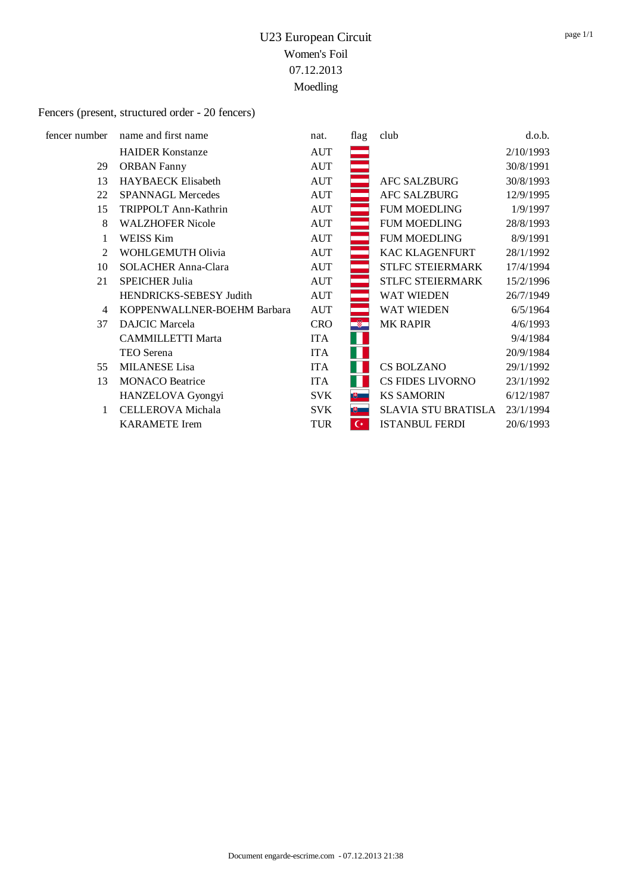## Fencers (present, structured order - 20 fencers)

| fencer number | name and first name         | nat.       | flag               | club                       | d.o.b.    |
|---------------|-----------------------------|------------|--------------------|----------------------------|-----------|
|               | <b>HAIDER Konstanze</b>     | <b>AUT</b> |                    |                            | 2/10/1993 |
| 29            | <b>ORBAN Fanny</b>          | AUT        |                    |                            | 30/8/1991 |
| 13            | <b>HAYBAECK Elisabeth</b>   | <b>AUT</b> |                    | <b>AFC SALZBURG</b>        | 30/8/1993 |
| 22            | <b>SPANNAGL Mercedes</b>    | <b>AUT</b> |                    | <b>AFC SALZBURG</b>        | 12/9/1995 |
| 15            | TRIPPOLT Ann-Kathrin        | <b>AUT</b> |                    | <b>FUM MOEDLING</b>        | 1/9/1997  |
| 8             | <b>WALZHOFER Nicole</b>     | <b>AUT</b> |                    | <b>FUM MOEDLING</b>        | 28/8/1993 |
| 1             | <b>WEISS Kim</b>            | <b>AUT</b> |                    | <b>FUM MOEDLING</b>        | 8/9/1991  |
| 2             | WOHLGEMUTH Olivia           | <b>AUT</b> |                    | <b>KAC KLAGENFURT</b>      | 28/1/1992 |
| 10            | <b>SOLACHER Anna-Clara</b>  | <b>AUT</b> |                    | <b>STLFC STEIERMARK</b>    | 17/4/1994 |
| 21            | <b>SPEICHER Julia</b>       | <b>AUT</b> |                    | <b>STLFC STEIERMARK</b>    | 15/2/1996 |
|               | HENDRICKS-SEBESY Judith     | <b>AUT</b> |                    | WAT WIEDEN                 | 26/7/1949 |
| 4             | KOPPENWALLNER-BOEHM Barbara | <b>AUT</b> |                    | <b>WAT WIEDEN</b>          | 6/5/1964  |
| 37            | <b>DAJCIC</b> Marcela       | <b>CRO</b> | $\bullet$          | <b>MK RAPIR</b>            | 4/6/1993  |
|               | <b>CAMMILLETTI Marta</b>    | <b>ITA</b> |                    |                            | 9/4/1984  |
|               | TEO Serena                  | <b>ITA</b> |                    |                            | 20/9/1984 |
| 55            | <b>MILANESE</b> Lisa        | <b>ITA</b> |                    | <b>CS BOLZANO</b>          | 29/1/1992 |
| 13            | <b>MONACO Beatrice</b>      | <b>ITA</b> |                    | CS FIDES LIVORNO           | 23/1/1992 |
|               | HANZELOVA Gyongyi           | <b>SVK</b> | 博士                 | <b>KS SAMORIN</b>          | 6/12/1987 |
| 1             | <b>CELLEROVA</b> Michala    | <b>SVK</b> | 博士                 | <b>SLAVIA STU BRATISLA</b> | 23/1/1994 |
|               | <b>KARAMETE</b> Irem        | <b>TUR</b> | $\mathsf{C}^\star$ | <b>ISTANBUL FERDI</b>      | 20/6/1993 |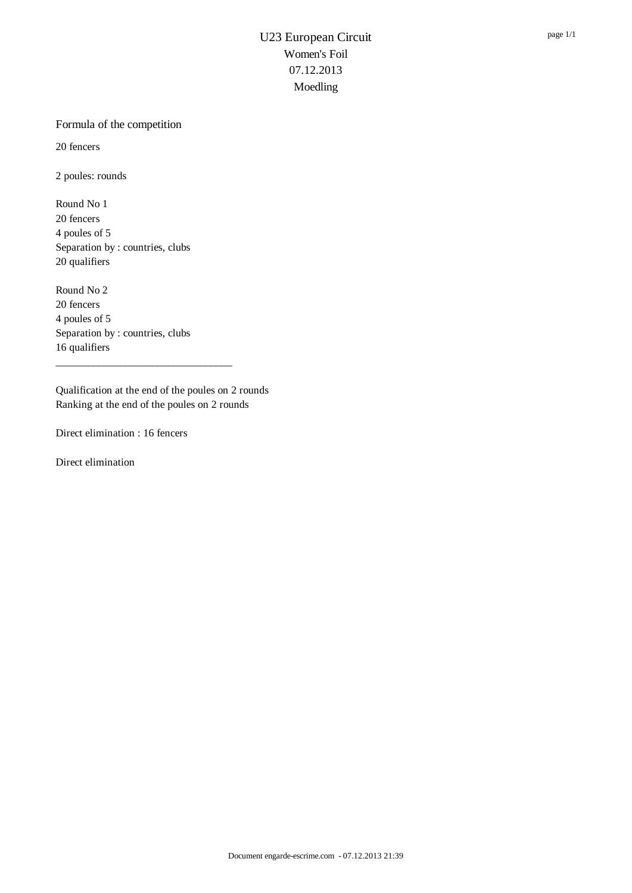### Formula of the competition

20 fencers

2 poules: rounds

Round No 1 20 fencers 4 poules of 5 Separation by : countries, clubs 20 qualifiers

Round No 2 20 fencers 4 poules of 5 Separation by : countries, clubs 16 qualifiers

Qualification at the end of the poules on 2 rounds Ranking at the end of the poules on 2 rounds

\_\_\_\_\_\_\_\_\_\_\_\_\_\_\_\_\_\_\_\_\_\_\_\_\_\_\_\_\_\_\_\_\_

Direct elimination : 16 fencers

Direct elimination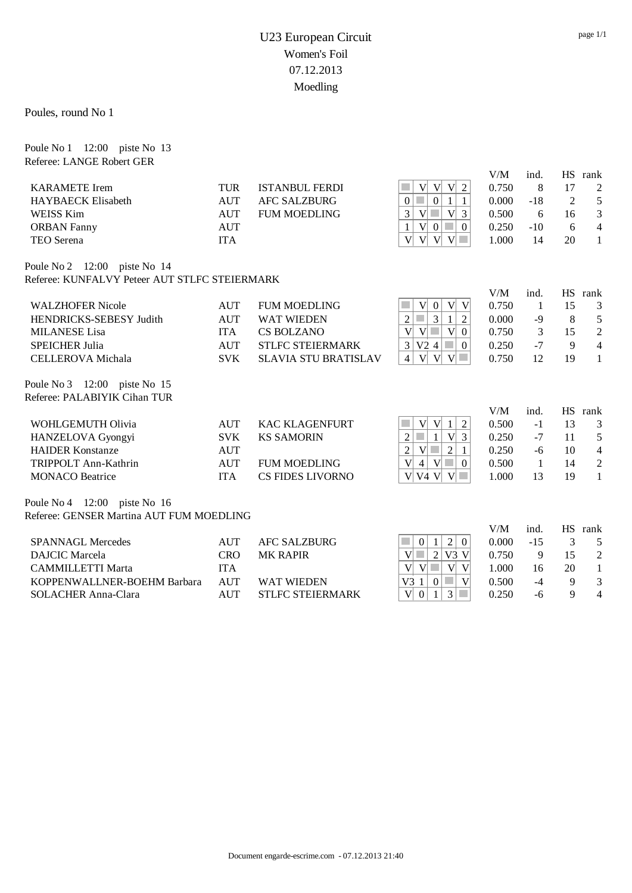#### Poules, round No 1

Poule No 1 12:00 piste No 13 Referee: LANGE Robert GER

|                                               |            |                             |                                             | V/M   | ind.  | <b>HS</b> | rank         |
|-----------------------------------------------|------------|-----------------------------|---------------------------------------------|-------|-------|-----------|--------------|
| <b>KARAMETE</b> Irem                          | TUR        | <b>ISTANBUL FERDI</b>       | V<br>V<br>V                                 | 0.750 | 8     | 17        | 2            |
| <b>HAYBAECK Elisabeth</b>                     | <b>AUT</b> | <b>AFC SALZBURG</b>         | $\overline{0}$<br>$\overline{0}$            | 0.000 | $-18$ | 2         | 5            |
| WEISS Kim                                     | AUT        | <b>FUM MOEDLING</b>         | 3<br>V <sup>2</sup><br>3                    | 0.500 | 6     | 16        | 3            |
| <b>ORBAN Fanny</b>                            | <b>AUT</b> |                             | 1<br>V<br> 0 <br>$\theta$                   | 0.250 | $-10$ | 6         | 4            |
| TEO Serena                                    | <b>ITA</b> |                             | V <sub>1</sub><br>V<br>V<br>V <sup>2</sup>  | 1.000 | 14    | 20        | $\mathbf{1}$ |
| Poule No 2 12:00 piste No 14                  |            |                             |                                             |       |       |           |              |
| Referee: KUNFALVY Peteer AUT STLFC STEIERMARK |            |                             |                                             |       |       |           |              |
|                                               |            |                             |                                             | V/M   | ind.  | <b>HS</b> | rank         |
| <b>WALZHOFER Nicole</b>                       | AUT        | <b>FUM MOEDLING</b>         | $\vert 0 \vert$<br>V <sup>2</sup><br>V<br>V | 0.750 | 1     | 15        | 3            |
| <b>HENDRICKS-SEBESY Judith</b>                | AUT        | <b>WAT WIEDEN</b>           | $\overline{2}$<br>3 <br>2                   | 0.000 | $-9$  | 8         | 5            |
| <b>MILANESE</b> Lisa                          | <b>ITA</b> | <b>CS BOLZANO</b>           | V<br>V<br>V<br>$\overline{0}$               | 0.750 | 3     | 15        | 2            |
| <b>SPEICHER Julia</b>                         | <b>AUT</b> | <b>STLFC STEIERMARK</b>     | 3<br>V24<br>$\theta$                        | 0.250 | $-7$  | 9         | 4            |
| <b>CELLEROVA</b> Michala                      | <b>SVK</b> | <b>SLAVIA STU BRATISLAV</b> | 4<br>V<br>V<br>V                            | 0.750 | 12    | 19        |              |
| 12:00<br>Poule No 3<br>piste No 15            |            |                             |                                             |       |       |           |              |

Referee: PALABIYIK Cihan TUR

| WOHLGEMUTH Olivia       | AUT        | KAC KLAGENFURT    | V<br>V <sup>2</sup>            | 0.500 | - 1  |    |   |
|-------------------------|------------|-------------------|--------------------------------|-------|------|----|---|
| HANZELOVA Gyongyi       | <b>SVK</b> | <b>KS SAMORIN</b> | V                              | 0.250 | $-7$ |    |   |
| <b>HAIDER Konstanze</b> | AUT        |                   | $\mathbf{V}$                   | 0.250 | -6   | 10 | 4 |
| TRIPPOLT Ann-Kathrin    |            | FUM MOEDLING      | $\overline{V}$<br>$\mathbf{V}$ | 0.500 |      |    |   |
| <b>MONACO</b> Beatrice  | 'ТА        | CS FIDES LIVORNO- | V<br> V <br>V4<br>V            | .000  |      | 19 |   |

Poule No 4 12:00 piste No 16 Referee: GENSER Martina AUT FUM MOEDLING

|                             |            |                        |    | V/M   | ind.  | НS | rank |
|-----------------------------|------------|------------------------|----|-------|-------|----|------|
| <b>SPANNAGL Mercedes</b>    | <b>AUT</b> | AFC SALZBURG           |    | 0.000 | $-15$ |    |      |
| DAJCIC Marcela              | CRO        | <b>MK RAPIR</b>        |    | 0.750 |       |    |      |
| <b>CAMMILLETTI Marta</b>    | ITA        |                        | V  | .000  | 16    | 20 |      |
| KOPPENWALLNER-BOEHM Barbara | <b>AUT</b> | WAT WIEDEN             | V3 | 0.500 | -4    |    |      |
| SOLACHER Anna-Clara         | AUT        | <b>TLEC STEIERMARK</b> | V  | 0.250 | -6    |    | 4    |

V/M ind. HS rank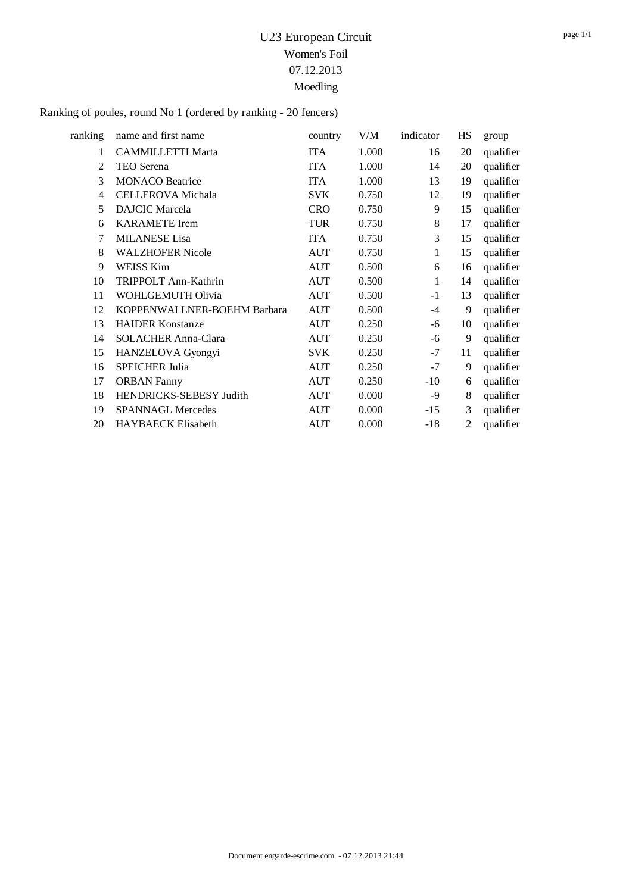## Ranking of poules, round No 1 (ordered by ranking - 20 fencers)

| ranking | name and first name         | country    | V/M   | indicator | HS | group     |
|---------|-----------------------------|------------|-------|-----------|----|-----------|
| 1       | <b>CAMMILLETTI Marta</b>    | <b>ITA</b> | 1.000 | 16        | 20 | qualifier |
| 2       | TEO Serena                  | <b>ITA</b> | 1.000 | 14        | 20 | qualifier |
| 3       | <b>MONACO Beatrice</b>      | <b>ITA</b> | 1.000 | 13        | 19 | qualifier |
| 4       | <b>CELLEROVA</b> Michala    | <b>SVK</b> | 0.750 | 12        | 19 | qualifier |
| 5       | <b>DAJCIC</b> Marcela       | <b>CRO</b> | 0.750 | 9         | 15 | qualifier |
| 6       | <b>KARAMETE</b> Irem        | <b>TUR</b> | 0.750 | $8\,$     | 17 | qualifier |
| 7       | <b>MILANESE</b> Lisa        | <b>ITA</b> | 0.750 | 3         | 15 | qualifier |
| 8       | <b>WALZHOFER Nicole</b>     | <b>AUT</b> | 0.750 | 1         | 15 | qualifier |
| 9       | WEISS Kim                   | <b>AUT</b> | 0.500 | 6         | 16 | qualifier |
| 10      | TRIPPOLT Ann-Kathrin        | <b>AUT</b> | 0.500 | 1         | 14 | qualifier |
| 11      | WOHLGEMUTH Olivia           | <b>AUT</b> | 0.500 | $-1$      | 13 | qualifier |
| 12      | KOPPENWALLNER-BOEHM Barbara | <b>AUT</b> | 0.500 | -4        | 9  | qualifier |
| 13      | <b>HAIDER Konstanze</b>     | <b>AUT</b> | 0.250 | -6        | 10 | qualifier |
| 14      | <b>SOLACHER Anna-Clara</b>  | <b>AUT</b> | 0.250 | -6        | 9  | qualifier |
| 15      | HANZELOVA Gyongyi           | <b>SVK</b> | 0.250 | $-7$      | 11 | qualifier |
| 16      | <b>SPEICHER Julia</b>       | <b>AUT</b> | 0.250 | -7        | 9  | qualifier |
| 17      | <b>ORBAN Fanny</b>          | <b>AUT</b> | 0.250 | $-10$     | 6  | qualifier |
| 18      | HENDRICKS-SEBESY Judith     | <b>AUT</b> | 0.000 | -9        | 8  | qualifier |
| 19      | <b>SPANNAGL Mercedes</b>    | <b>AUT</b> | 0.000 | $-15$     | 3  | qualifier |
| 20      | <b>HAYBAECK Elisabeth</b>   | AUT        | 0.000 | $-18$     | 2  | qualifier |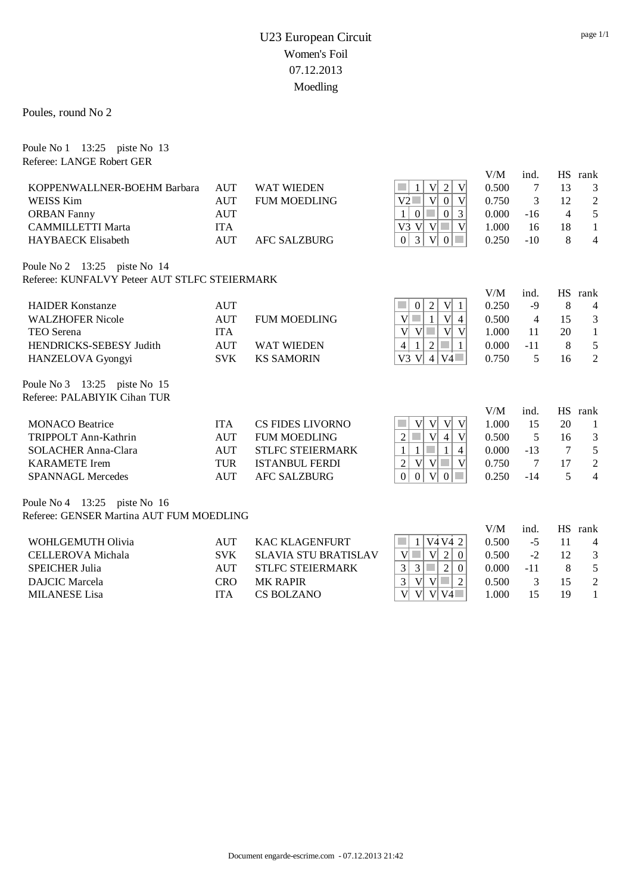### Poules, round No 2

Poule No 1 13:25 piste No 13 Referee: LANGE Robert GER

|                                               |            |                         |                                                                   | V/M   | ind.  | HS.            | rank           |
|-----------------------------------------------|------------|-------------------------|-------------------------------------------------------------------|-------|-------|----------------|----------------|
| KOPPENWALLNER-BOEHM Barbara                   | <b>AUT</b> | <b>WAT WIEDEN</b>       | V<br>$\overline{c}$<br>V                                          | 0.500 | 7     | 13             | 3              |
| WEISS Kim                                     | <b>AUT</b> | <b>FUM MOEDLING</b>     | V2<br>V <sub>l</sub><br> 0 <br>V                                  | 0.750 | 3     | 12             | $\overline{2}$ |
| <b>ORBAN Fanny</b>                            | <b>AUT</b> |                         | $\mathbf{1}$<br>$\mathbf{0}$<br>$\mathbf{0}$<br>3                 | 0.000 | $-16$ | $\overline{4}$ | 5              |
| <b>CAMMILLETTI Marta</b>                      | <b>ITA</b> |                         | V<br>V<br>$V3$ V                                                  | 1.000 | 16    | 18             | 1              |
| <b>HAYBAECK Elisabeth</b>                     | <b>AUT</b> | AFC SALZBURG            | 3<br>$\overline{0}$<br> V <br> 0 <br>$\mathcal{L}^{\mathcal{L}}$  | 0.250 | $-10$ | 8              | 4              |
| Poule No 2 13:25 piste No 14                  |            |                         |                                                                   |       |       |                |                |
| Referee: KUNFALVY Peteer AUT STLFC STEIERMARK |            |                         |                                                                   |       |       |                |                |
|                                               |            |                         |                                                                   | V/M   | ind.  | <b>HS</b>      | rank           |
| <b>HAIDER Konstanze</b>                       | <b>AUT</b> |                         | $\overline{2}$<br>$V _1$<br>$\mathbf{0}$                          | 0.250 | $-9$  | 8              | 4              |
| <b>WALZHOFER Nicole</b>                       | <b>AUT</b> | <b>FUM MOEDLING</b>     | V<br>V<br>$\overline{4}$                                          | 0.500 | 4     | 15             | 3              |
| TEO Serena                                    | <b>ITA</b> |                         | V<br>V<br>V <sub>l</sub><br>V                                     | 1.000 | 11    | 20             | 1              |
| HENDRICKS-SEBESY Judith                       | <b>AUT</b> | <b>WAT WIEDEN</b>       | $\overline{4}$<br>$\overline{2}$                                  | 0.000 | $-11$ | 8              | 5              |
| HANZELOVA Gyongyi                             | <b>SVK</b> | <b>KS SAMORIN</b>       | $V3$ V<br>$\vert 4 \vert$<br>V4                                   | 0.750 | 5     | 16             | $\overline{2}$ |
| Poule No 3 13:25 piste No 15                  |            |                         |                                                                   |       |       |                |                |
| Referee: PALABIYIK Cihan TUR                  |            |                         |                                                                   |       |       |                |                |
|                                               |            |                         |                                                                   | V/M   | ind.  | <b>HS</b>      | rank           |
| <b>MONACO</b> Beatrice                        | <b>ITA</b> | <b>CS FIDES LIVORNO</b> | V <br>V <sub>l</sub><br>V V                                       | 1.000 | 15    | 20             | 1              |
| TRIPPOLT Ann-Kathrin                          | <b>AUT</b> | <b>FUM MOEDLING</b>     | 2<br>V <sup>2</sup><br>$\overline{4}$<br>V                        | 0.500 | 5     | 16             | 3              |
| <b>SOLACHER Anna-Clara</b>                    | <b>AUT</b> | STLFC STEIERMARK        | $\mathbf{1}$<br>$\overline{4}$                                    | 0.000 | $-13$ | 7              | 5              |
| <b>KARAMETE</b> Irem                          | <b>TUR</b> | <b>ISTANBUL FERDI</b>   | V <br>V<br>V<br>$\overline{2}$                                    | 0.750 | 7     | 17             | $\mathbf{2}$   |
| <b>SPANNAGL Mercedes</b>                      | <b>AUT</b> | <b>AFC SALZBURG</b>     | $\overline{0}$<br>$\boldsymbol{0}$<br>V<br>a s<br>$\vert 0 \vert$ | 0.250 | $-14$ | 5              | $\overline{4}$ |
| Poule No 4 13:25<br>piste No 16               |            |                         |                                                                   |       |       |                |                |

Referee: GENSER Martina AUT FUM MOEDLING

| WOHLGEMUTH Olivia    | AUT        | KAC KLAGENFURT              | V <sub>4</sub> V <sub>4</sub> 2 | 0.500 | -כ  |     | 4 |
|----------------------|------------|-----------------------------|---------------------------------|-------|-----|-----|---|
| CELLEROVA Michala    | <b>SVK</b> | <b>SLAVIA STU BRATISLAV</b> | V                               | 0.500 | -2  | -12 |   |
| SPEICHER Julia       | AUT        | <b>STLFC STEIERMARK</b>     | $\mathbf{z}$                    | 0.000 | -11 |     |   |
| DAJCIC Marcela       | CRO        | <b>MK RAPIR</b>             | V<br>$\mathbf{V}$               | 0.500 |     |     |   |
| <b>MILANESE Lisa</b> | ITA        | CS BOLZANO                  | V<br>V4<br>V                    | .000  |     | 19  |   |

V/M ind. HS rank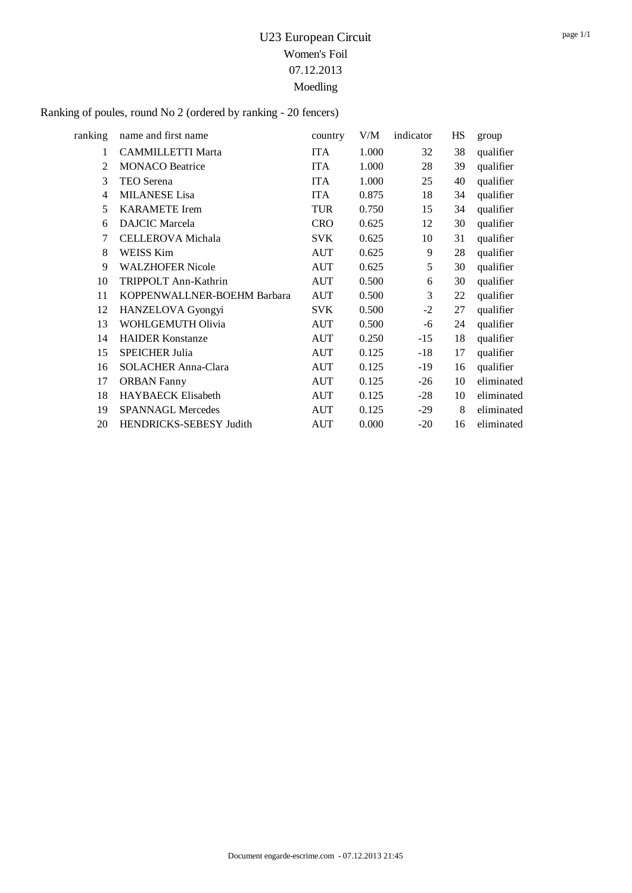| ranking | name and first name         | country    | V/M   | indicator | HS | group      |
|---------|-----------------------------|------------|-------|-----------|----|------------|
| 1       | <b>CAMMILLETTI Marta</b>    | <b>ITA</b> | 1.000 | 32        | 38 | qualifier  |
| 2       | <b>MONACO</b> Beatrice      | <b>ITA</b> | 1.000 | 28        | 39 | qualifier  |
| 3       | TEO Serena                  | <b>ITA</b> | 1.000 | 25        | 40 | qualifier  |
| 4       | <b>MILANESE</b> Lisa        | <b>ITA</b> | 0.875 | 18        | 34 | qualifier  |
| 5       | <b>KARAMETE</b> Irem        | <b>TUR</b> | 0.750 | 15        | 34 | qualifier  |
| 6       | <b>DAJCIC</b> Marcela       | <b>CRO</b> | 0.625 | 12        | 30 | qualifier  |
| 7       | CELLEROVA Michala           | <b>SVK</b> | 0.625 | 10        | 31 | qualifier  |
| 8       | WEISS Kim                   | AUT        | 0.625 | 9         | 28 | qualifier  |
| 9       | <b>WALZHOFER Nicole</b>     | AUT        | 0.625 | 5         | 30 | qualifier  |
| 10      | TRIPPOLT Ann-Kathrin        | AUT        | 0.500 | 6         | 30 | qualifier  |
| 11      | KOPPENWALLNER-BOEHM Barbara | AUT        | 0.500 | 3         | 22 | qualifier  |
| 12      | HANZELOVA Gyongyi           | <b>SVK</b> | 0.500 | $-2$      | 27 | qualifier  |
| 13      | WOHLGEMUTH Olivia           | AUT        | 0.500 | -6        | 24 | qualifier  |
| 14      | <b>HAIDER Konstanze</b>     | AUT        | 0.250 | $-15$     | 18 | qualifier  |
| 15      | <b>SPEICHER Julia</b>       | <b>AUT</b> | 0.125 | $-18$     | 17 | qualifier  |
| 16      | SOLACHER Anna-Clara         | AUT        | 0.125 | -19       | 16 | qualifier  |
| 17      | <b>ORBAN Fanny</b>          | <b>AUT</b> | 0.125 | $-26$     | 10 | eliminated |
| 18      | <b>HAYBAECK Elisabeth</b>   | AUT        | 0.125 | $-28$     | 10 | eliminated |
| 19      | <b>SPANNAGL Mercedes</b>    | <b>AUT</b> | 0.125 | $-29$     | 8  | eliminated |
| 20      | HENDRICKS-SEBESY Judith     | <b>AUT</b> | 0.000 | $-20$     | 16 | eliminated |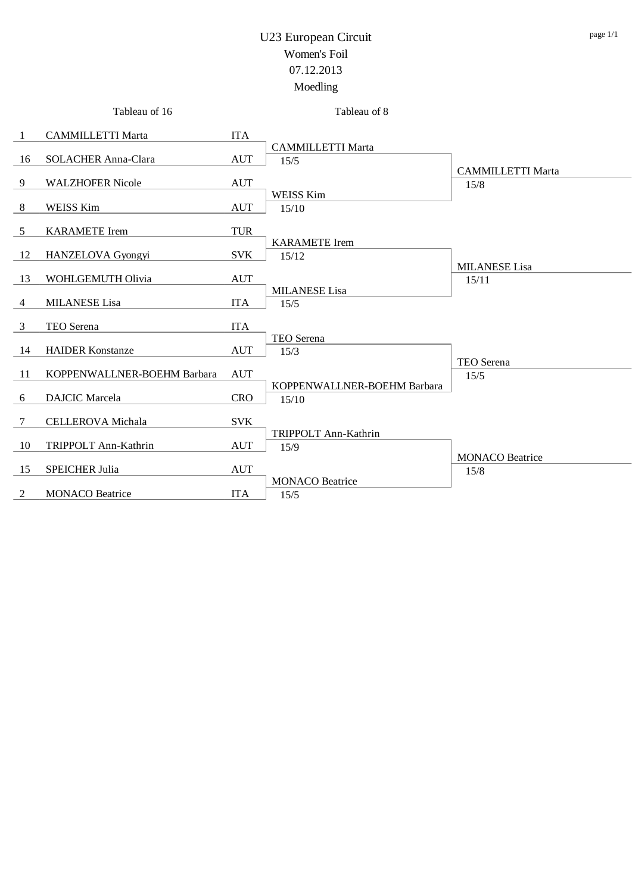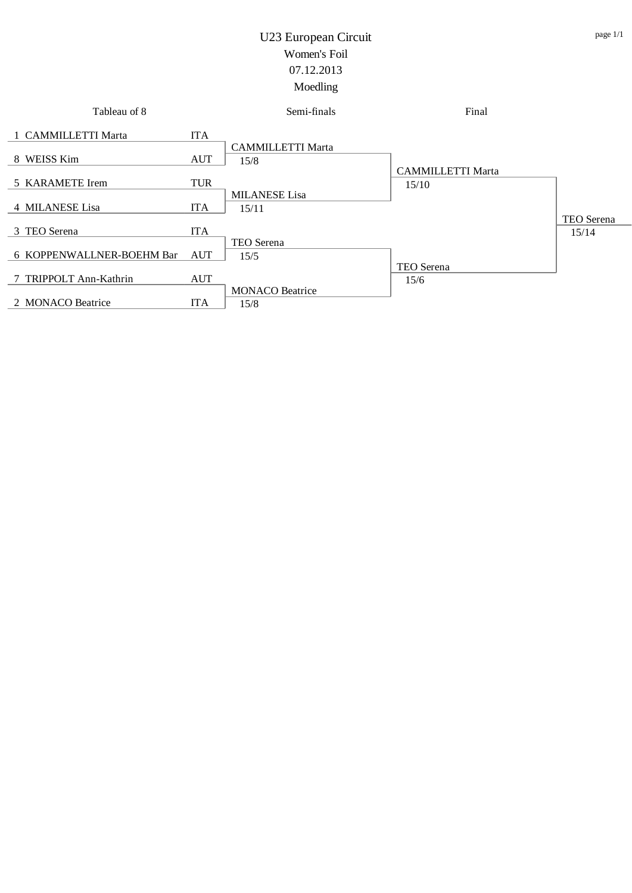| Tableau of 8              |            | Semi-finals                    | Final                             |                     |
|---------------------------|------------|--------------------------------|-----------------------------------|---------------------|
| 1 CAMMILLETTI Marta       | <b>ITA</b> | <b>CAMMILLETTI Marta</b>       |                                   |                     |
| 8 WEISS Kim               | <b>AUT</b> | 15/8                           |                                   |                     |
| 5 KARAMETE Irem           | <b>TUR</b> |                                | <b>CAMMILLETTI Marta</b><br>15/10 |                     |
| 4 MILANESE Lisa           | <b>ITA</b> | <b>MILANESE Lisa</b><br>15/11  |                                   |                     |
| 3 TEO Serena              | <b>ITA</b> |                                |                                   | TEO Serena<br>15/14 |
| 6 KOPPENWALLNER-BOEHM Bar | <b>AUT</b> | TEO Serena<br>15/5             |                                   |                     |
| 7 TRIPPOLT Ann-Kathrin    | <b>AUT</b> |                                | TEO Serena<br>15/6                |                     |
| 2 MONACO Beatrice         | <b>ITA</b> | <b>MONACO Beatrice</b><br>15/8 |                                   |                     |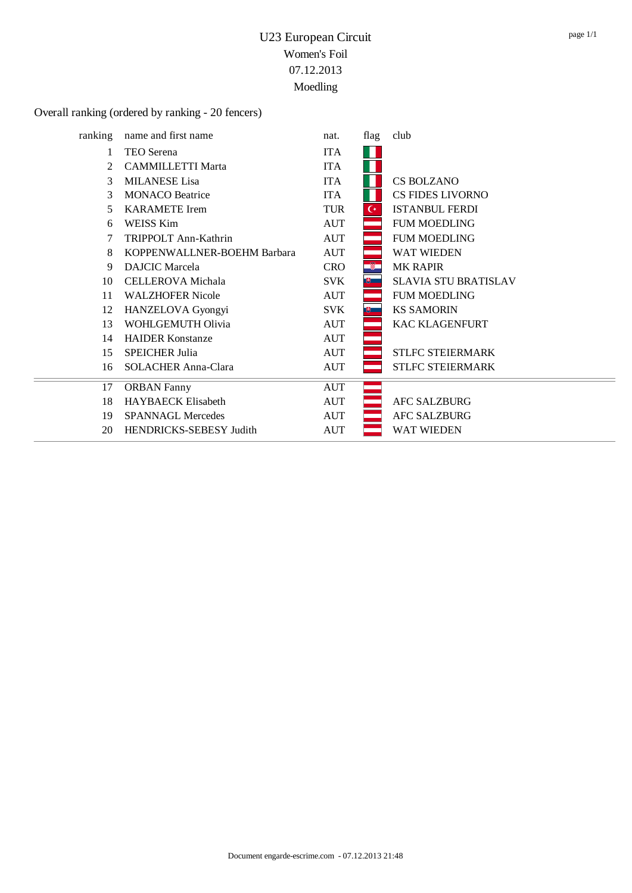## Overall ranking (ordered by ranking - 20 fencers)

| ranking | name and first name         | nat.       | flag           | club                        |
|---------|-----------------------------|------------|----------------|-----------------------------|
|         | TEO Serena                  | <b>ITA</b> |                |                             |
| 2       | <b>CAMMILLETTI Marta</b>    | <b>ITA</b> |                |                             |
| 3       | <b>MILANESE</b> Lisa        | <b>ITA</b> |                | <b>CS BOLZANO</b>           |
| 3       | <b>MONACO Beatrice</b>      | <b>ITA</b> |                | CS FIDES LIVORNO            |
| 5.      | <b>KARAMETE</b> Irem        | <b>TUR</b> | $\mathsf{C}^*$ | <b>ISTANBUL FERDI</b>       |
| 6       | WEISS Kim                   | <b>AUT</b> |                | <b>FUM MOEDLING</b>         |
|         | TRIPPOLT Ann-Kathrin        | <b>AUT</b> |                | <b>FUM MOEDLING</b>         |
| 8       | KOPPENWALLNER-BOEHM Barbara | AUT        |                | WAT WIEDEN                  |
| 9       | <b>DAJCIC Marcela</b>       | <b>CRO</b> | $\bullet$      | <b>MK RAPIR</b>             |
| 10      | <b>CELLEROVA</b> Michala    | SVK.       | - 明 - - -      | <b>SLAVIA STU BRATISLAV</b> |
| 11      | <b>WALZHOFER Nicole</b>     | <b>AUT</b> |                | <b>FUM MOEDLING</b>         |
| 12      | HANZELOVA Gyongyi           | SVK.       |                | <b>KS SAMORIN</b>           |
| 13      | WOHLGEMUTH Olivia           | <b>AUT</b> |                | <b>KAC KLAGENFURT</b>       |
| 14      | <b>HAIDER Konstanze</b>     | <b>AUT</b> |                |                             |
| 15      | <b>SPEICHER Julia</b>       | <b>AUT</b> |                | <b>STLFC STEIERMARK</b>     |
| 16      | <b>SOLACHER Anna-Clara</b>  | <b>AUT</b> |                | STLFC STEIERMARK            |
| 17      | <b>ORBAN Fanny</b>          | <b>AUT</b> |                |                             |
| 18      | <b>HAYBAECK Elisabeth</b>   | <b>AUT</b> |                | <b>AFC SALZBURG</b>         |
| 19      | <b>SPANNAGL Mercedes</b>    | <b>AUT</b> |                | <b>AFC SALZBURG</b>         |
| 20      | HENDRICKS-SEBESY Judith     | AUT        |                | <b>WAT WIEDEN</b>           |